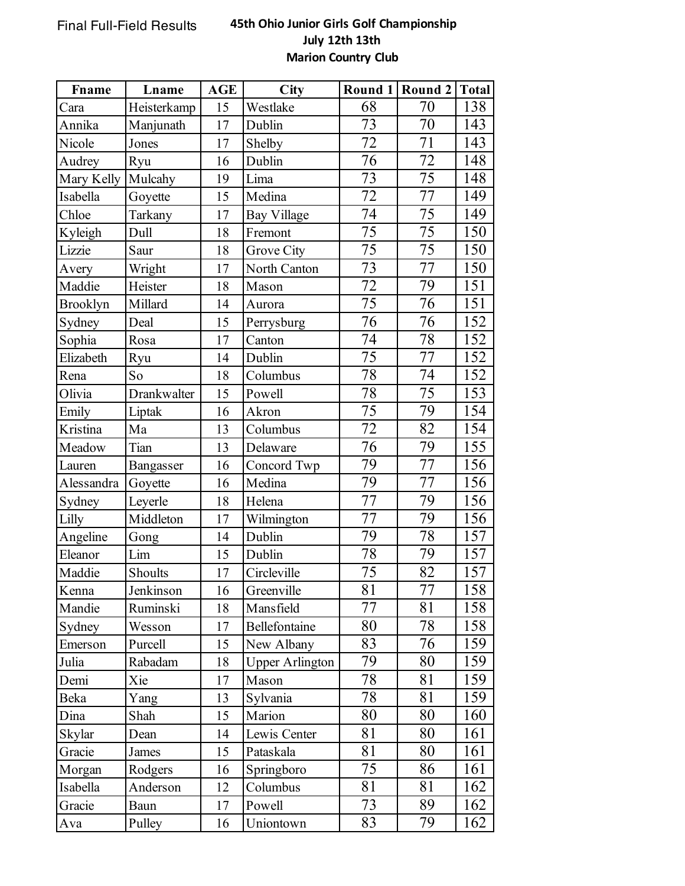## Final Full-Field Results **45th Ohio Junior Girls Golf Championship July 12th 13th Marion Country Club**

| Fname           | Lname       | <b>AGE</b> | <b>City</b>            |    | Round 1 Round 2 | <b>Total</b> |
|-----------------|-------------|------------|------------------------|----|-----------------|--------------|
| Cara            | Heisterkamp | 15         | Westlake               | 68 | 70              | 138          |
| Annika          | Manjunath   | 17         | Dublin                 | 73 | 70              | 143          |
| Nicole          | Jones       | 17         | Shelby                 | 72 | 71              | 143          |
| Audrey          | Ryu         | 16         | Dublin                 | 76 | 72              | 148          |
| Mary Kelly      | Mulcahy     | 19         | Lima                   | 73 | 75              | 148          |
| Isabella        | Goyette     | 15         | Medina                 | 72 | 77              | 149          |
| Chloe           | Tarkany     | 17         | <b>Bay Village</b>     | 74 | 75              | 149          |
| Kyleigh         | Dull        | 18         | Fremont                | 75 | 75              | 150          |
| Lizzie          | Saur        | 18         | Grove City             | 75 | 75              | 150          |
| Avery           | Wright      | 17         | North Canton           | 73 | 77              | 150          |
| Maddie          | Heister     | 18         | Mason                  | 72 | 79              | 151          |
| <b>Brooklyn</b> | Millard     | 14         | Aurora                 | 75 | 76              | 151          |
| Sydney          | Deal        | 15         | Perrysburg             | 76 | 76              | 152          |
| Sophia          | Rosa        | 17         | Canton                 | 74 | 78              | 152          |
| Elizabeth       | Ryu         | 14         | Dublin                 | 75 | 77              | 152          |
| Rena            | So          | 18         | Columbus               | 78 | 74              | 152          |
| Olivia          | Drankwalter | 15         | Powell                 | 78 | 75              | 153          |
| Emily           | Liptak      | 16         | Akron                  | 75 | 79              | 154          |
| Kristina        | Ma          | 13         | Columbus               | 72 | 82              | 154          |
| Meadow          | Tian        | 13         | Delaware               | 76 | 79              | 155          |
| Lauren          | Bangasser   | 16         | Concord Twp            | 79 | 77              | 156          |
| Alessandra      | Goyette     | 16         | Medina                 | 79 | 77              | 156          |
| Sydney          | Leyerle     | 18         | Helena                 | 77 | 79              | 156          |
| Lilly           | Middleton   | 17         | Wilmington             | 77 | 79              | 156          |
| Angeline        | Gong        | 14         | Dublin                 | 79 | $78\,$          | 157          |
| Eleanor         | Lim         | 15         | Dublin                 | 78 | 79              | 157          |
| Maddie          | Shoults     | 17         | Circleville            | 75 | 82              | 157          |
| Kenna           | Jenkinson   | 16         | Greenville             | 81 | 77              | 158          |
| Mandie          | Ruminski    | 18         | Mansfield              | 77 | 81              | 158          |
| Sydney          | Wesson      | 17         | Bellefontaine          | 80 | 78              | 158          |
| Emerson         | Purcell     | 15         | New Albany             | 83 | 76              | 159          |
| Julia           | Rabadam     | 18         | <b>Upper Arlington</b> | 79 | 80              | 159          |
| Demi            | Xie         | 17         | Mason                  | 78 | 81              | 159          |
| Beka            | Yang        | 13         | Sylvania               | 78 | 81              | 159          |
| Dina            | Shah        | 15         | Marion                 | 80 | 80              | 160          |
| Skylar          | Dean        | 14         | Lewis Center           | 81 | 80              | 161          |
| Gracie          | James       | 15         | Pataskala              | 81 | 80              | 161          |
| Morgan          | Rodgers     | 16         | Springboro             | 75 | 86              | 161          |
| Isabella        | Anderson    | 12         | Columbus               | 81 | 81              | 162          |
| Gracie          | Baun        | 17         | Powell                 | 73 | 89              | 162          |
| Ava             | Pulley      | 16         | Uniontown              | 83 | 79              | 162          |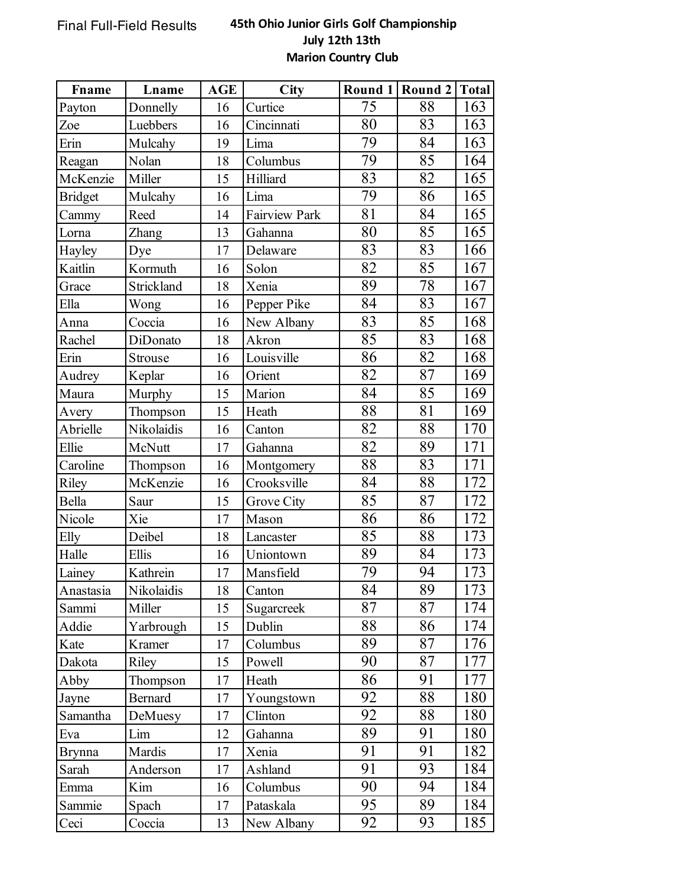## Final Full-Field Results **45th Ohio Junior Girls Golf Championship July 12th 13th Marion Country Club**

| Fname          | Lname          | AGE | City          |    | Round 1 Round 2 | <b>Total</b> |
|----------------|----------------|-----|---------------|----|-----------------|--------------|
| Payton         | Donnelly       | 16  | Curtice       | 75 | 88              | 163          |
| Zoe            | Luebbers       | 16  | Cincinnati    | 80 | 83              | 163          |
| Erin           | Mulcahy        | 19  | Lima          | 79 | 84              | 163          |
| Reagan         | Nolan          | 18  | Columbus      | 79 | 85              | 164          |
| McKenzie       | Miller         | 15  | Hilliard      | 83 | 82              | 165          |
| <b>Bridget</b> | Mulcahy        | 16  | Lima          | 79 | 86              | 165          |
| Cammy          | Reed           | 14  | Fairview Park | 81 | 84              | 165          |
| Lorna          | Zhang          | 13  | Gahanna       | 80 | 85              | 165          |
| Hayley         | Dye            | 17  | Delaware      | 83 | 83              | 166          |
| Kaitlin        | Kormuth        | 16  | Solon         | 82 | 85              | 167          |
| Grace          | Strickland     | 18  | Xenia         | 89 | 78              | 167          |
| Ella           | Wong           | 16  | Pepper Pike   | 84 | 83              | 167          |
| Anna           | Coccia         | 16  | New Albany    | 83 | 85              | 168          |
| Rachel         | DiDonato       | 18  | Akron         | 85 | 83              | 168          |
| Erin           | Strouse        | 16  | Louisville    | 86 | 82              | 168          |
| Audrey         | Keplar         | 16  | Orient        | 82 | 87              | 169          |
| Maura          | Murphy         | 15  | Marion        | 84 | 85              | 169          |
| Avery          | Thompson       | 15  | Heath         | 88 | 81              | 169          |
| Abrielle       | Nikolaidis     | 16  | Canton        | 82 | 88              | 170          |
| Ellie          | McNutt         | 17  | Gahanna       | 82 | 89              | 171          |
| Caroline       | Thompson       | 16  | Montgomery    | 88 | 83              | 171          |
| Riley          | McKenzie       | 16  | Crooksville   | 84 | 88              | 172          |
| Bella          | Saur           | 15  | Grove City    | 85 | 87              | 172          |
| Nicole         | Xie            | 17  | Mason         | 86 | 86              | 172          |
| Elly           | Deibel         | 18  | Lancaster     | 85 | 88              | 173          |
| Halle          | Ellis          | 16  | Uniontown     | 89 | 84              | 173          |
| Lainey         | Kathrein       | 17  | Mansfield     | 79 | 94              | 173          |
| Anastasia      | Nikolaidis     | 18  | Canton        | 84 | 89              | 173          |
| Sammi          | Miller         | 15  | Sugarcreek    | 87 | 87              | 174          |
| Addie          | Yarbrough      | 15  | Dublin        | 88 | 86              | 174          |
| Kate           | Kramer         | 17  | Columbus      | 89 | 87              | 176          |
| Dakota         | Riley          | 15  | Powell        | 90 | 87              | 177          |
| Abby           | Thompson       | 17  | Heath         | 86 | 91              | 177          |
| Jayne          | <b>Bernard</b> | 17  | Youngstown    | 92 | 88              | 180          |
| Samantha       | DeMuesy        | 17  | Clinton       | 92 | 88              | 180          |
| Eva            | Lim            | 12  | Gahanna       | 89 | 91              | 180          |
| <b>Brynna</b>  | Mardis         | 17  | Xenia         | 91 | 91              | 182          |
| Sarah          | Anderson       | 17  | Ashland       | 91 | 93              | 184          |
| Emma           | Kim            | 16  | Columbus      | 90 | 94              | 184          |
| Sammie         | Spach          | 17  | Pataskala     | 95 | 89              | 184          |
| Ceci           | Coccia         | 13  | New Albany    | 92 | 93              | 185          |